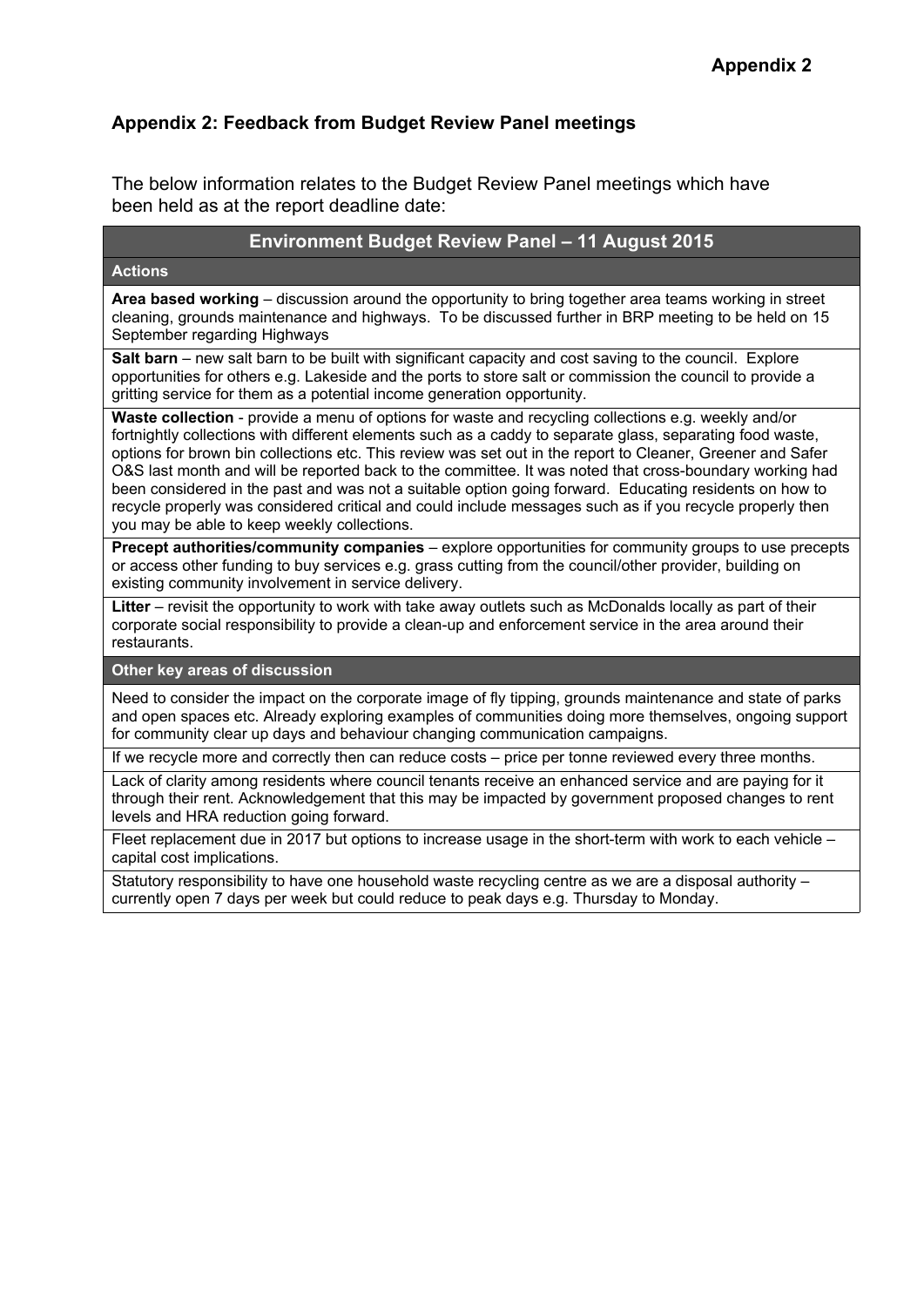# **Appendix 2: Feedback from Budget Review Panel meetings**

The below information relates to the Budget Review Panel meetings which have been held as at the report deadline date:

# **Environment Budget Review Panel – 11 August 2015**

## **Actions**

**Area based working** – discussion around the opportunity to bring together area teams working in street cleaning, grounds maintenance and highways. To be discussed further in BRP meeting to be held on 15 September regarding Highways

**Salt barn** – new salt barn to be built with significant capacity and cost saving to the council. Explore opportunities for others e.g. Lakeside and the ports to store salt or commission the council to provide a gritting service for them as a potential income generation opportunity.

**Waste collection** - provide a menu of options for waste and recycling collections e.g. weekly and/or fortnightly collections with different elements such as a caddy to separate glass, separating food waste, options for brown bin collections etc. This review was set out in the report to Cleaner, Greener and Safer O&S last month and will be reported back to the committee. It was noted that cross-boundary working had been considered in the past and was not a suitable option going forward. Educating residents on how to recycle properly was considered critical and could include messages such as if you recycle properly then you may be able to keep weekly collections.

**Precept authorities/community companies** – explore opportunities for community groups to use precepts or access other funding to buy services e.g. grass cutting from the council/other provider, building on existing community involvement in service delivery.

**Litter** – revisit the opportunity to work with take away outlets such as McDonalds locally as part of their corporate social responsibility to provide a clean-up and enforcement service in the area around their restaurants.

**Other key areas of discussion**

Need to consider the impact on the corporate image of fly tipping, grounds maintenance and state of parks and open spaces etc. Already exploring examples of communities doing more themselves, ongoing support for community clear up days and behaviour changing communication campaigns.

If we recycle more and correctly then can reduce costs – price per tonne reviewed every three months.

Lack of clarity among residents where council tenants receive an enhanced service and are paying for it through their rent. Acknowledgement that this may be impacted by government proposed changes to rent levels and HRA reduction going forward.

Fleet replacement due in 2017 but options to increase usage in the short-term with work to each vehicle – capital cost implications.

Statutory responsibility to have one household waste recycling centre as we are a disposal authority – currently open 7 days per week but could reduce to peak days e.g. Thursday to Monday.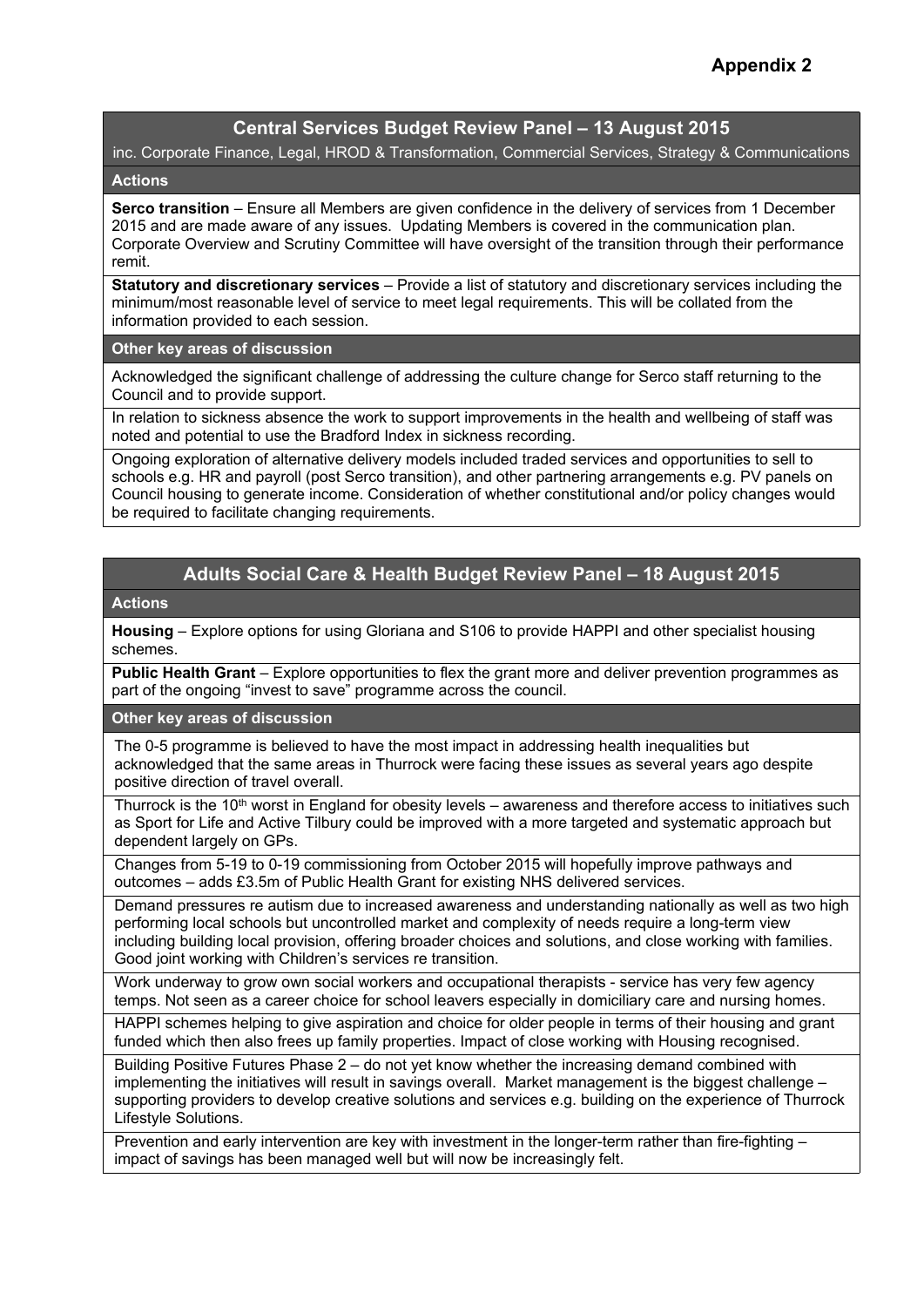# **Central Services Budget Review Panel – 13 August 2015**

inc. Corporate Finance, Legal, HROD & Transformation, Commercial Services, Strategy & Communications

## **Actions**

**Serco transition** – Ensure all Members are given confidence in the delivery of services from 1 December 2015 and are made aware of any issues. Updating Members is covered in the communication plan. Corporate Overview and Scrutiny Committee will have oversight of the transition through their performance remit.

**Statutory and discretionary services** – Provide a list of statutory and discretionary services including the minimum/most reasonable level of service to meet legal requirements. This will be collated from the information provided to each session.

### **Other key areas of discussion**

Acknowledged the significant challenge of addressing the culture change for Serco staff returning to the Council and to provide support.

In relation to sickness absence the work to support improvements in the health and wellbeing of staff was noted and potential to use the Bradford Index in sickness recording.

Ongoing exploration of alternative delivery models included traded services and opportunities to sell to schools e.g. HR and payroll (post Serco transition), and other partnering arrangements e.g. PV panels on Council housing to generate income. Consideration of whether constitutional and/or policy changes would be required to facilitate changing requirements.

# **Adults Social Care & Health Budget Review Panel – 18 August 2015**

**Actions**

**Housing** – Explore options for using Gloriana and S106 to provide HAPPI and other specialist housing schemes.

**Public Health Grant** – Explore opportunities to flex the grant more and deliver prevention programmes as part of the ongoing "invest to save" programme across the council.

**Other key areas of discussion**

The 0-5 programme is believed to have the most impact in addressing health inequalities but acknowledged that the same areas in Thurrock were facing these issues as several years ago despite positive direction of travel overall.

Thurrock is the 10<sup>th</sup> worst in England for obesity levels – awareness and therefore access to initiatives such as Sport for Life and Active Tilbury could be improved with a more targeted and systematic approach but dependent largely on GPs.

Changes from 5-19 to 0-19 commissioning from October 2015 will hopefully improve pathways and outcomes – adds £3.5m of Public Health Grant for existing NHS delivered services.

Demand pressures re autism due to increased awareness and understanding nationally as well as two high performing local schools but uncontrolled market and complexity of needs require a long-term view including building local provision, offering broader choices and solutions, and close working with families. Good joint working with Children's services re transition.

Work underway to grow own social workers and occupational therapists - service has very few agency temps. Not seen as a career choice for school leavers especially in domiciliary care and nursing homes.

HAPPI schemes helping to give aspiration and choice for older people in terms of their housing and grant funded which then also frees up family properties. Impact of close working with Housing recognised.

Building Positive Futures Phase 2 – do not yet know whether the increasing demand combined with implementing the initiatives will result in savings overall. Market management is the biggest challenge – supporting providers to develop creative solutions and services e.g. building on the experience of Thurrock Lifestyle Solutions.

Prevention and early intervention are key with investment in the longer-term rather than fire-fighting – impact of savings has been managed well but will now be increasingly felt.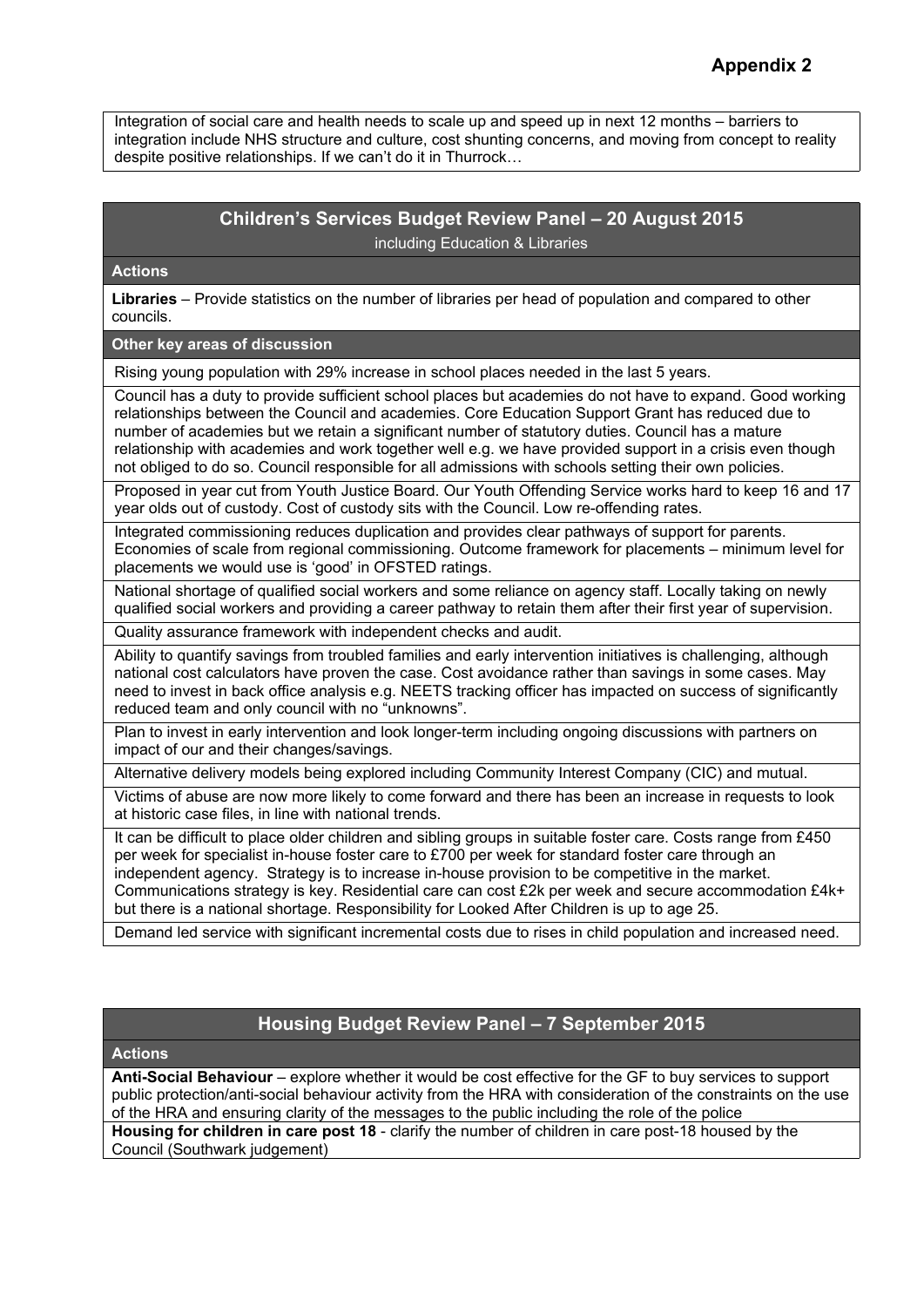Integration of social care and health needs to scale up and speed up in next 12 months – barriers to integration include NHS structure and culture, cost shunting concerns, and moving from concept to reality despite positive relationships. If we can't do it in Thurrock…

# **Children's Services Budget Review Panel – 20 August 2015**

including Education & Libraries

### **Actions**

**Libraries** – Provide statistics on the number of libraries per head of population and compared to other councils.

### **Other key areas of discussion**

Rising young population with 29% increase in school places needed in the last 5 years.

Council has a duty to provide sufficient school places but academies do not have to expand. Good working relationships between the Council and academies. Core Education Support Grant has reduced due to number of academies but we retain a significant number of statutory duties. Council has a mature relationship with academies and work together well e.g. we have provided support in a crisis even though not obliged to do so. Council responsible for all admissions with schools setting their own policies.

Proposed in year cut from Youth Justice Board. Our Youth Offending Service works hard to keep 16 and 17 year olds out of custody. Cost of custody sits with the Council. Low re-offending rates.

Integrated commissioning reduces duplication and provides clear pathways of support for parents. Economies of scale from regional commissioning. Outcome framework for placements – minimum level for placements we would use is 'good' in OFSTED ratings.

National shortage of qualified social workers and some reliance on agency staff. Locally taking on newly qualified social workers and providing a career pathway to retain them after their first year of supervision.

Quality assurance framework with independent checks and audit.

Ability to quantify savings from troubled families and early intervention initiatives is challenging, although national cost calculators have proven the case. Cost avoidance rather than savings in some cases. May need to invest in back office analysis e.g. NEETS tracking officer has impacted on success of significantly reduced team and only council with no "unknowns".

Plan to invest in early intervention and look longer-term including ongoing discussions with partners on impact of our and their changes/savings.

Alternative delivery models being explored including Community Interest Company (CIC) and mutual.

Victims of abuse are now more likely to come forward and there has been an increase in requests to look at historic case files, in line with national trends.

It can be difficult to place older children and sibling groups in suitable foster care. Costs range from £450 per week for specialist in-house foster care to £700 per week for standard foster care through an independent agency. Strategy is to increase in-house provision to be competitive in the market. Communications strategy is key. Residential care can cost £2k per week and secure accommodation £4k+ but there is a national shortage. Responsibility for Looked After Children is up to age 25.

Demand led service with significant incremental costs due to rises in child population and increased need.

# **Housing Budget Review Panel – 7 September 2015**

#### **Actions**

**Anti-Social Behaviour** – explore whether it would be cost effective for the GF to buy services to support public protection/anti-social behaviour activity from the HRA with consideration of the constraints on the use of the HRA and ensuring clarity of the messages to the public including the role of the police **Housing for children in care post 18** - clarify the number of children in care post-18 housed by the

Council (Southwark judgement)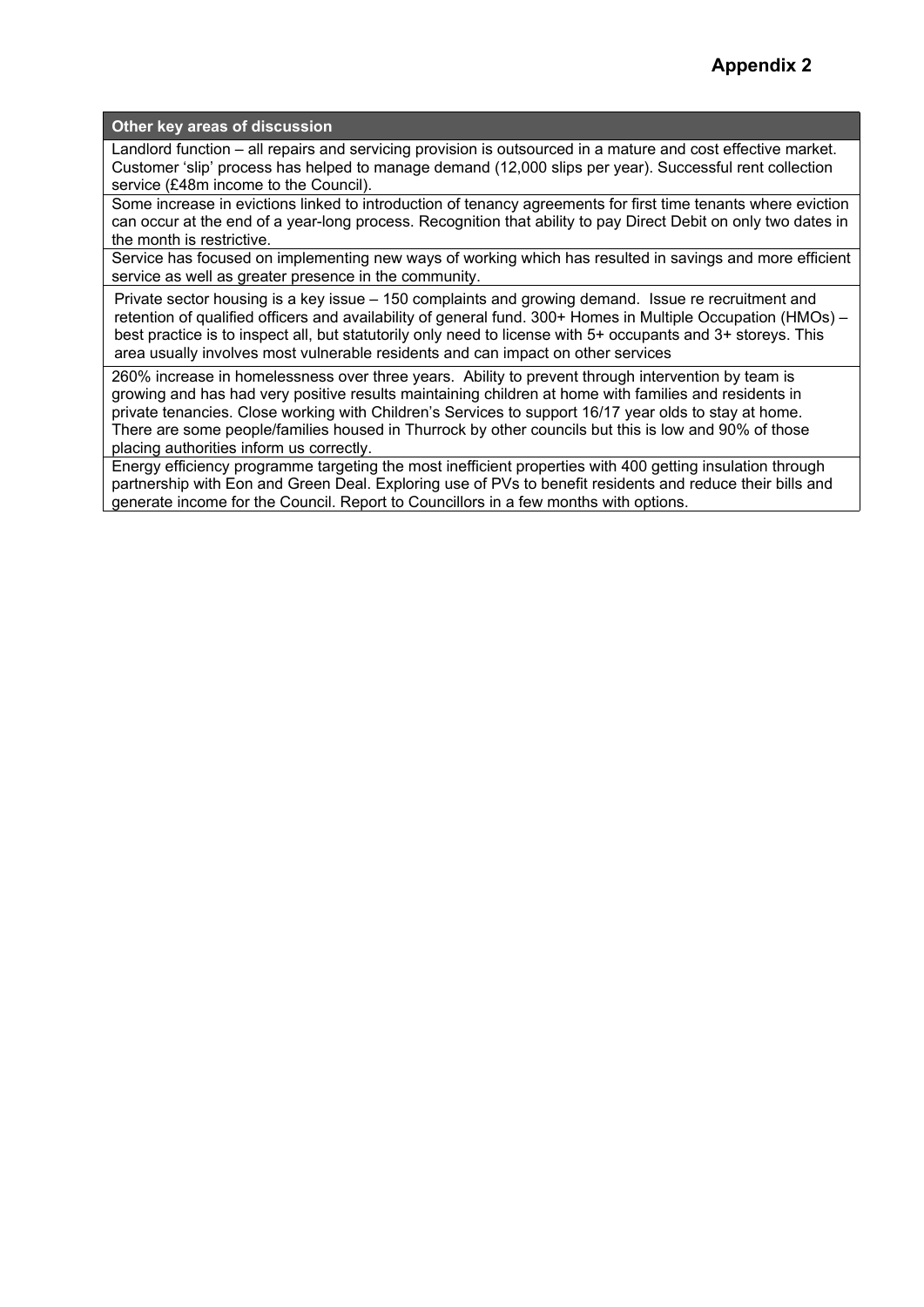### **Other key areas of discussion**

Landlord function – all repairs and servicing provision is outsourced in a mature and cost effective market. Customer 'slip' process has helped to manage demand (12,000 slips per year). Successful rent collection service (£48m income to the Council).

Some increase in evictions linked to introduction of tenancy agreements for first time tenants where eviction can occur at the end of a year-long process. Recognition that ability to pay Direct Debit on only two dates in the month is restrictive.

Service has focused on implementing new ways of working which has resulted in savings and more efficient service as well as greater presence in the community.

Private sector housing is a key issue – 150 complaints and growing demand. Issue re recruitment and retention of qualified officers and availability of general fund. 300+ Homes in Multiple Occupation (HMOs) – best practice is to inspect all, but statutorily only need to license with 5+ occupants and 3+ storeys. This area usually involves most vulnerable residents and can impact on other services

260% increase in homelessness over three years. Ability to prevent through intervention by team is growing and has had very positive results maintaining children at home with families and residents in private tenancies. Close working with Children's Services to support 16/17 year olds to stay at home. There are some people/families housed in Thurrock by other councils but this is low and 90% of those placing authorities inform us correctly.

Energy efficiency programme targeting the most inefficient properties with 400 getting insulation through partnership with Eon and Green Deal. Exploring use of PVs to benefit residents and reduce their bills and generate income for the Council. Report to Councillors in a few months with options.